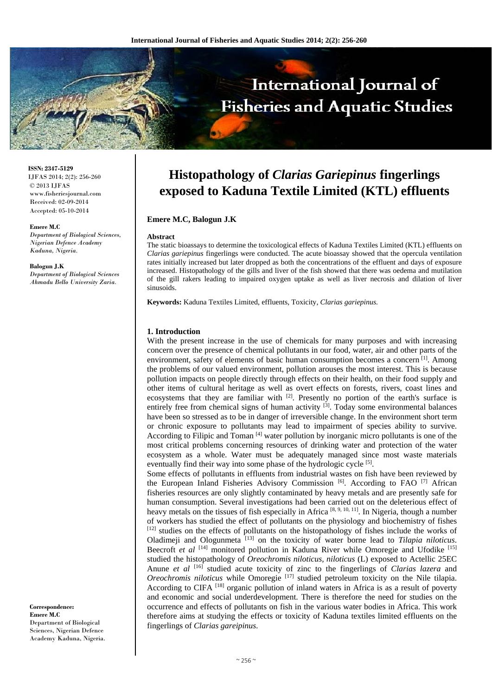

**ISSN: 2347-5129** IJFAS 2014; 2(2): 256-260 © 2013 IJFAS www.fisheriesjournal.com Received: 02-09-2014 Accepted: 05-10-2014

#### **Emere M.C**

*Department of Biological Sciences, Nigerian Defence Academy Kaduna, Nigeria.* 

#### **Balogun J.K**

*Department of Biological Sciences Ahmadu Bello University Zaria.* 

**Correspondence: Emere M.C**  Department of Biological Sciences, Nigerian Defence Academy Kaduna, Nigeria.

# **Histopathology of** *Clarias Gariepinus* **fingerlings exposed to Kaduna Textile Limited (KTL) effluents**

#### **Emere M.C, Balogun J.K**

#### **Abstract**

The static bioassays to determine the toxicological effects of Kaduna Textiles Limited (KTL) effluents on *Clarias gariepinus* fingerlings were conducted. The acute bioassay showed that the opercula ventilation rates initially increased but later dropped as both the concentrations of the effluent and days of exposure increased. Histopathology of the gills and liver of the fish showed that there was oedema and mutilation of the gill rakers leading to impaired oxygen uptake as well as liver necrosis and dilation of liver sinusoids.

**Keywords:** Kaduna Textiles Limited, effluents, Toxicity, *Clarias gariepinus.*

#### **1. Introduction**

With the present increase in the use of chemicals for many purposes and with increasing concern over the presence of chemical pollutants in our food, water, air and other parts of the environment, safety of elements of basic human consumption becomes a concern <sup>[1]</sup>. Among the problems of our valued environment, pollution arouses the most interest. This is because pollution impacts on people directly through effects on their health, on their food supply and other items of cultural heritage as well as overt effects on forests, rivers, coast lines and ecosystems that they are familiar with [2]. Presently no portion of the earth's surface is entirely free from chemical signs of human activity <sup>[3]</sup>. Today some environmental balances have been so stressed as to be in danger of irreversible change. In the environment short term or chronic exposure to pollutants may lead to impairment of species ability to survive. According to Filipic and Toman [4] water pollution by inorganic micro pollutants is one of the most critical problems concerning resources of drinking water and protection of the water ecosystem as a whole. Water must be adequately managed since most waste materials eventually find their way into some phase of the hydrologic cycle [5].

Some effects of pollutants in effluents from industrial wastes on fish have been reviewed by the European Inland Fisheries Advisory Commission [6]. According to FAO [7] African fisheries resources are only slightly contaminated by heavy metals and are presently safe for human consumption. Several investigations had been carried out on the deleterious effect of heavy metals on the tissues of fish especially in Africa  $[8, 9, 10, 11]$ . In Nigeria, though a number of workers has studied the effect of pollutants on the physiology and biochemistry of fishes [12] studies on the effects of pollutants on the histopathology of fishes include the works of Oladimeji and Ologunmeta [13] on the toxicity of water borne lead to *Tilapia niloticus*. Beecroft et al <sup>[14]</sup> monitored pollution in Kaduna River while Omoregie and Ufodike <sup>[15]</sup> studied the histopathology of *Oreochromis niloticus, niloticus* (L) exposed to Actellic 25EC Anune *et al* [16] studied acute toxicity of zinc to the fingerlings of *Clarias lazera* and *Oreochromis niloticus* while Omoregie<sup>[17]</sup> studied petroleum toxicity on the Nile tilapia. According to CIFA<sup>[18]</sup> organic pollution of inland waters in Africa is as a result of poverty and economic and social underdevelopment. There is therefore the need for studies on the occurrence and effects of pollutants on fish in the various water bodies in Africa. This work therefore aims at studying the effects or toxicity of Kaduna textiles limited effluents on the fingerlings of *Clarias gareipinus*.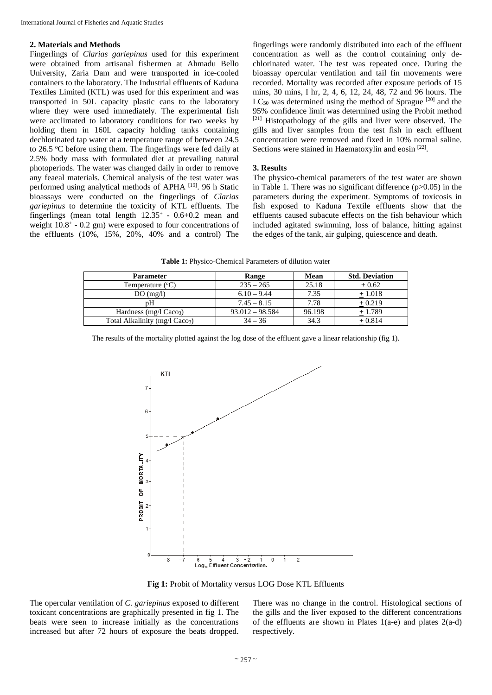### **2. Materials and Methods**

Fingerlings of *Clarias gariepinus* used for this experiment were obtained from artisanal fishermen at Ahmadu Bello University, Zaria Dam and were transported in ice-cooled containers to the laboratory. The Industrial effluents of Kaduna Textiles Limited (KTL) was used for this experiment and was transported in 50L capacity plastic cans to the laboratory where they were used immediately. The experimental fish were acclimated to laboratory conditions for two weeks by holding them in 160L capacity holding tanks containing dechlorinated tap water at a temperature range of between 24.5 to  $26.5$  °C before using them. The fingerlings were fed daily at 2.5% body mass with formulated diet at prevailing natural photoperiods. The water was changed daily in order to remove any feaeal materials. Chemical analysis of the test water was performed using analytical methods of APHA [19]. 96 h Static bioassays were conducted on the fingerlings of *Clarias gariepinus* to determine the toxicity of KTL effluents. The fingerlings (mean total length  $12.35^+$  - 0.6+0.2 mean and weight  $10.8^{\circ}$  - 0.2 gm) were exposed to four concentrations of the effluents (10%, 15%, 20%, 40% and a control) The

fingerlings were randomly distributed into each of the effluent concentration as well as the control containing only dechlorinated water. The test was repeated once. During the bioassay opercular ventilation and tail fin movements were recorded. Mortality was recorded after exposure periods of 15 mins, 30 mins, I hr, 2, 4, 6, 12, 24, 48, 72 and 96 hours. The  $LC_{50}$  was determined using the method of Sprague  $[20]$  and the 95% confidence limit was determined using the Probit method [21] Histopathology of the gills and liver were observed. The gills and liver samples from the test fish in each effluent concentration were removed and fixed in 10% normal saline. Sections were stained in Haematoxylin and eosin [22].

# **3. Results**

The physico-chemical parameters of the test water are shown in Table 1. There was no significant difference  $(p>0.05)$  in the parameters during the experiment. Symptoms of toxicosis in fish exposed to Kaduna Textile effluents show that the effluents caused subacute effects on the fish behaviour which included agitated swimming, loss of balance, hitting against the edges of the tank, air gulping, quiescence and death.

**Table 1:** Physico-Chemical Parameters of dilution water

| <b>Parameter</b>                           | Range             | Mean   | <b>Std. Deviation</b> |
|--------------------------------------------|-------------------|--------|-----------------------|
| Temperature $(^{\circ}C)$                  | $235 - 265$       | 25.18  | $\pm 0.62$            |
| DO(mg/l)                                   | $6.10 - 9.44$     | 7.35   | $+1.018$              |
| pН                                         | $7.45 - 8.15$     | 7.78   | $+0.219$              |
| Hardness (mg/l Caco <sub>3</sub> )         | $93.012 - 98.584$ | 96.198 | $+1.789$              |
| Total Alkalinity (mg/l Caco <sub>3</sub> ) | $34 - 36$         | 34.3   | $+0.814$              |

The results of the mortality plotted against the log dose of the effluent gave a linear relationship (fig 1).



**Fig 1:** Probit of Mortality versus LOG Dose KTL Effluents

The opercular ventilation of *C. gariepinus* exposed to different toxicant concentrations are graphically presented in fig 1. The beats were seen to increase initially as the concentrations increased but after 72 hours of exposure the beats dropped.

There was no change in the control. Histological sections of the gills and the liver exposed to the different concentrations of the effluents are shown in Plates  $1(a-e)$  and plates  $2(a-d)$ respectively.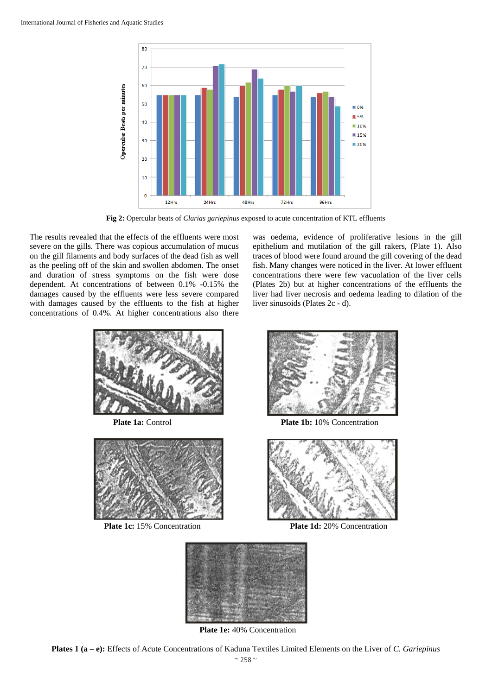

**Fig 2:** Opercular beats of *Clarias gariepinus* exposed to acute concentration of KTL effluents

The results revealed that the effects of the effluents were most severe on the gills. There was copious accumulation of mucus on the gill filaments and body surfaces of the dead fish as well as the peeling off of the skin and swollen abdomen. The onset and duration of stress symptoms on the fish were dose dependent. At concentrations of between 0.1% -0.15% the damages caused by the effluents were less severe compared with damages caused by the effluents to the fish at higher concentrations of 0.4%. At higher concentrations also there was oedema, evidence of proliferative lesions in the gill epithelium and mutilation of the gill rakers, (Plate 1). Also traces of blood were found around the gill covering of the dead fish. Many changes were noticed in the liver. At lower effluent concentrations there were few vacuolation of the liver cells (Plates 2b) but at higher concentrations of the effluents the liver had liver necrosis and oedema leading to dilation of the liver sinusoids (Plates 2c - d).









**Plate 1c:** 15% Concentration **Plate 1d:** 20% Concentration



 **Plate 1e:** 40% Concentration

**Plates 1 (a – e):** Effects of Acute Concentrations of Kaduna Textiles Limited Elements on the Liver of *C. Gariepinus*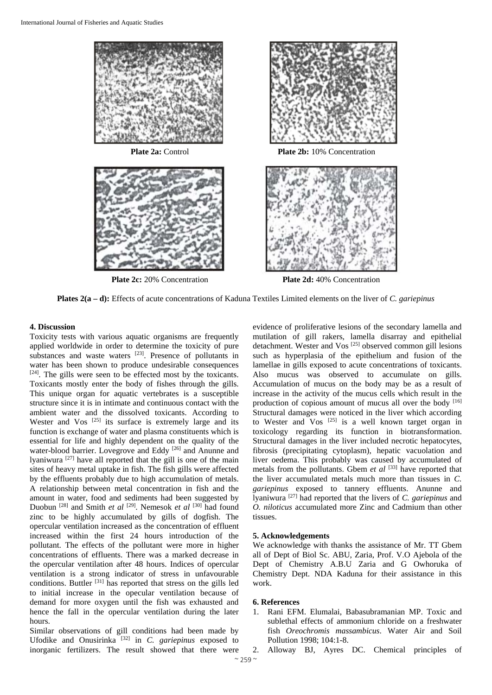





**Plate 2a:** Control **Plate 2b:** 10% Concentration



**Plate 2c:** 20% Concentration **Plate 2d:** 40% Concentration

**Plates 2(a – d):** Effects of acute concentrations of Kaduna Textiles Limited elements on the liver of *C. gariepinus*

# **4. Discussion**

Toxicity tests with various aquatic organisms are frequently applied worldwide in order to determine the toxicity of pure substances and waste waters [23]. Presence of pollutants in water has been shown to produce undesirable consequences [24]. The gills were seen to be effected most by the toxicants. Toxicants mostly enter the body of fishes through the gills. This unique organ for aquatic vertebrates is a susceptible structure since it is in intimate and continuous contact with the ambient water and the dissolved toxicants. According to Wester and  $V_{OS}$  [25] its surface is extremely large and its function is exchange of water and plasma constituents which is essential for life and highly dependent on the quality of the water-blood barrier. Lovegrove and Eddy [26] and Anunne and lyaniwura [27] have all reported that the gill is one of the main sites of heavy metal uptake in fish. The fish gills were affected by the effluents probably due to high accumulation of metals. A relationship between metal concentration in fish and the amount in water, food and sediments had been suggested by Duobun [28] and Smith *et al* [29]. Nemesok *et al* [30] had found zinc to be highly accumulated by gills of dogfish. The opercular ventilation increased as the concentration of effluent increased within the first 24 hours introduction of the pollutant. The effects of the pollutant were more in higher concentrations of effluents. There was a marked decrease in the opercular ventilation after 48 hours. Indices of opercular ventilation is a strong indicator of stress in unfavourable conditions. Buttler [31] has reported that stress on the gills led to initial increase in the opecular ventilation because of demand for more oxygen until the fish was exhausted and hence the fall in the opercular ventilation during the later hours.

Similar observations of gill conditions had been made by Ufodike and Onusirinka [32] in *C. gariepinus* exposed to inorganic fertilizers. The result showed that there were

evidence of proliferative lesions of the secondary lamella and mutilation of gill rakers, lamella disarray and epithelial detachment. Wester and Vos [25] observed common gill lesions such as hyperplasia of the epithelium and fusion of the lamellae in gills exposed to acute concentrations of toxicants. Also mucus was observed to accumulate on gills. Accumulation of mucus on the body may be as a result of increase in the activity of the mucus cells which result in the production of copious amount of mucus all over the body  $[16]$ Structural damages were noticed in the liver which according to Wester and Vos  $[25]$  is a well known target organ in toxicology regarding its function in biotransformation. Structural damages in the liver included necrotic hepatocytes, fibrosis (precipitating cytoplasm), hepatic vacuolation and liver oedema. This probably was caused by accumulated of metals from the pollutants. Gbem *et al* [33] have reported that the liver accumulated metals much more than tissues in *C. gariepinus* exposed to tannery effluents. Anunne and lyaniwura [27] had reported that the livers of *C. gariepinus* and *O. niloticus* accumulated more Zinc and Cadmium than other tissues.

# **5. Acknowledgements**

We acknowledge with thanks the assistance of Mr. TT Gbem all of Dept of Biol Sc. ABU, Zaria, Prof. V.O Ajebola of the Dept of Chemistry A.B.U Zaria and G Owhoruka of Chemistry Dept. NDA Kaduna for their assistance in this work.

# **6. References**

- 1. Rani EFM. Elumalai, Babasubramanian MP. Toxic and sublethal effects of ammonium chloride on a freshwater fish *Oreochromis massambicus*. Water Air and Soil Pollution 1998; 104:1-8.
- 2. Alloway BJ, Ayres DC. Chemical principles of